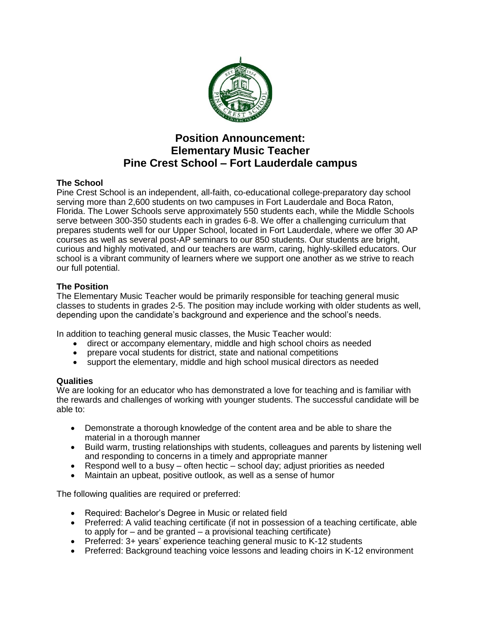

# **Position Announcement: Elementary Music Teacher Pine Crest School – Fort Lauderdale campus**

## **The School**

Pine Crest School is an independent, all-faith, co-educational college-preparatory day school serving more than 2,600 students on two campuses in Fort Lauderdale and Boca Raton, Florida. The Lower Schools serve approximately 550 students each, while the Middle Schools serve between 300-350 students each in grades 6-8. We offer a challenging curriculum that prepares students well for our Upper School, located in Fort Lauderdale, where we offer 30 AP courses as well as several post-AP seminars to our 850 students. Our students are bright, curious and highly motivated, and our teachers are warm, caring, highly-skilled educators. Our school is a vibrant community of learners where we support one another as we strive to reach our full potential.

### **The Position**

The Elementary Music Teacher would be primarily responsible for teaching general music classes to students in grades 2-5. The position may include working with older students as well, depending upon the candidate's background and experience and the school's needs.

In addition to teaching general music classes, the Music Teacher would:

- direct or accompany elementary, middle and high school choirs as needed
- prepare vocal students for district, state and national competitions
- support the elementary, middle and high school musical directors as needed

### **Qualities**

We are looking for an educator who has demonstrated a love for teaching and is familiar with the rewards and challenges of working with younger students. The successful candidate will be able to:

- Demonstrate a thorough knowledge of the content area and be able to share the material in a thorough manner
- Build warm, trusting relationships with students, colleagues and parents by listening well and responding to concerns in a timely and appropriate manner
- Respond well to a busy often hectic school day; adjust priorities as needed
- Maintain an upbeat, positive outlook, as well as a sense of humor

The following qualities are required or preferred:

- Required: Bachelor's Degree in Music or related field
- Preferred: A valid teaching certificate (if not in possession of a teaching certificate, able to apply for – and be granted – a provisional teaching certificate)
- Preferred: 3+ years' experience teaching general music to K-12 students
- Preferred: Background teaching voice lessons and leading choirs in K-12 environment